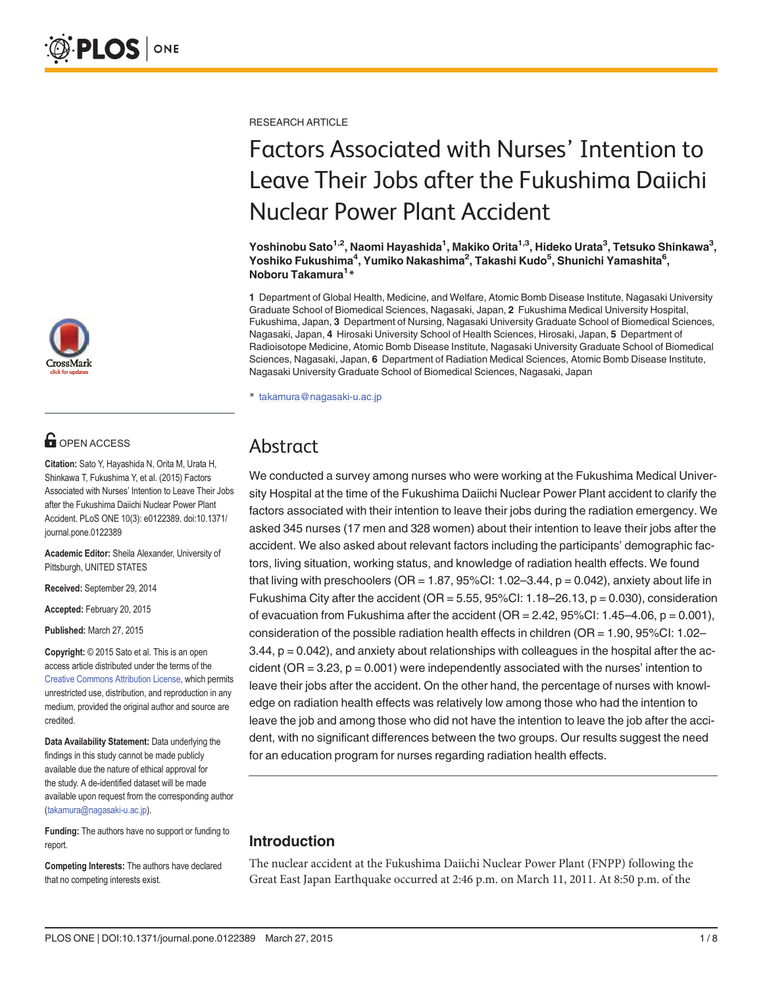

# **G** OPEN ACCESS

Citation: Sato Y, Hayashida N, Orita M, Urata H, Shinkawa T, Fukushima Y, et al. (2015) Factors Associated with Nurses' Intention to Leave Their Jobs after the Fukushima Daiichi Nuclear Power Plant Accident. PLoS ONE 10(3): e0122389. doi:10.1371/ journal.pone.0122389

Academic Editor: Sheila Alexander, University of Pittsburgh, UNITED STATES

Received: September 29, 2014

Accepted: February 20, 2015

Published: March 27, 2015

Copyright: © 2015 Sato et al. This is an open access article distributed under the terms of the [Creative Commons Attribution License,](http://creativecommons.org/licenses/by/4.0/) which permits unrestricted use, distribution, and reproduction in any medium, provided the original author and source are credited.

Data Availability Statement: Data underlying the findings in this study cannot be made publicly available due the nature of ethical approval for the study. A de-identified dataset will be made available upon request from the corresponding author (takamura@nagasaki-u.ac.jp).

Funding: The authors have no support or funding to report.

Competing Interests: The authors have declared that no competing interests exist.

RESEARCH ARTICLE

# Factors Associated with Nurses' Intention to Leave Their Jobs after the Fukushima Daiichi Nuclear Power Plant Accident

Yoshinobu Sato $^{\mathsf{1,2}}$ , Naomi Hayashida $^{\mathsf{1}}$ , Makiko Orita $^{\mathsf{1,3}}$ , Hideko Urata $^{\mathsf{3}},$  Tetsuko Shinkawa $^{\mathsf{3}},$ Yoshiko Fukushima<sup>4</sup>, Yumiko Nakashima<sup>2</sup>, Takashi Kudo<sup>5</sup>, Shunichi Yamashita<sup>6</sup>, Noboru Takamura<sup>1</sup>\*

1 Department of Global Health, Medicine, and Welfare, Atomic Bomb Disease Institute, Nagasaki University Graduate School of Biomedical Sciences, Nagasaki, Japan, 2 Fukushima Medical University Hospital, Fukushima, Japan, 3 Department of Nursing, Nagasaki University Graduate School of Biomedical Sciences, Nagasaki, Japan, 4 Hirosaki University School of Health Sciences, Hirosaki, Japan, 5 Department of Radioisotope Medicine, Atomic Bomb Disease Institute, Nagasaki University Graduate School of Biomedical Sciences, Nagasaki, Japan, 6 Department of Radiation Medical Sciences, Atomic Bomb Disease Institute, Nagasaki University Graduate School of Biomedical Sciences, Nagasaki, Japan

\* takamura@nagasaki-u.ac.jp

## Abstract

We conducted a survey among nurses who were working at the Fukushima Medical University Hospital at the time of the Fukushima Daiichi Nuclear Power Plant accident to clarify the factors associated with their intention to leave their jobs during the radiation emergency. We asked 345 nurses (17 men and 328 women) about their intention to leave their jobs after the accident. We also asked about relevant factors including the participants' demographic factors, living situation, working status, and knowledge of radiation health effects. We found that living with preschoolers ( $OR = 1.87$ ,  $95\%$ CI:  $1.02-3.44$ ,  $p = 0.042$ ), anxiety about life in Fukushima City after the accident ( $OR = 5.55$ ,  $95\%$ CI: 1.18–26.13, p = 0.030), consideration of evacuation from Fukushima after the accident (OR =  $2.42$ ,  $95\%$ CI:  $1.45-4.06$ ,  $p = 0.001$ ), consideration of the possible radiation health effects in children (OR = 1.90, 95%CI: 1.02–  $3.44$ ,  $p = 0.042$ ), and anxiety about relationships with colleagues in the hospital after the accident ( $OR = 3.23$ ,  $p = 0.001$ ) were independently associated with the nurses' intention to leave their jobs after the accident. On the other hand, the percentage of nurses with knowledge on radiation health effects was relatively low among those who had the intention to leave the job and among those who did not have the intention to leave the job after the accident, with no significant differences between the two groups. Our results suggest the need for an education program for nurses regarding radiation health effects.

## Introduction

The nuclear accident at the Fukushima Daiichi Nuclear Power Plant (FNPP) following the Great East Japan Earthquake occurred at 2:46 p.m. on March 11, 2011. At 8:50 p.m. of the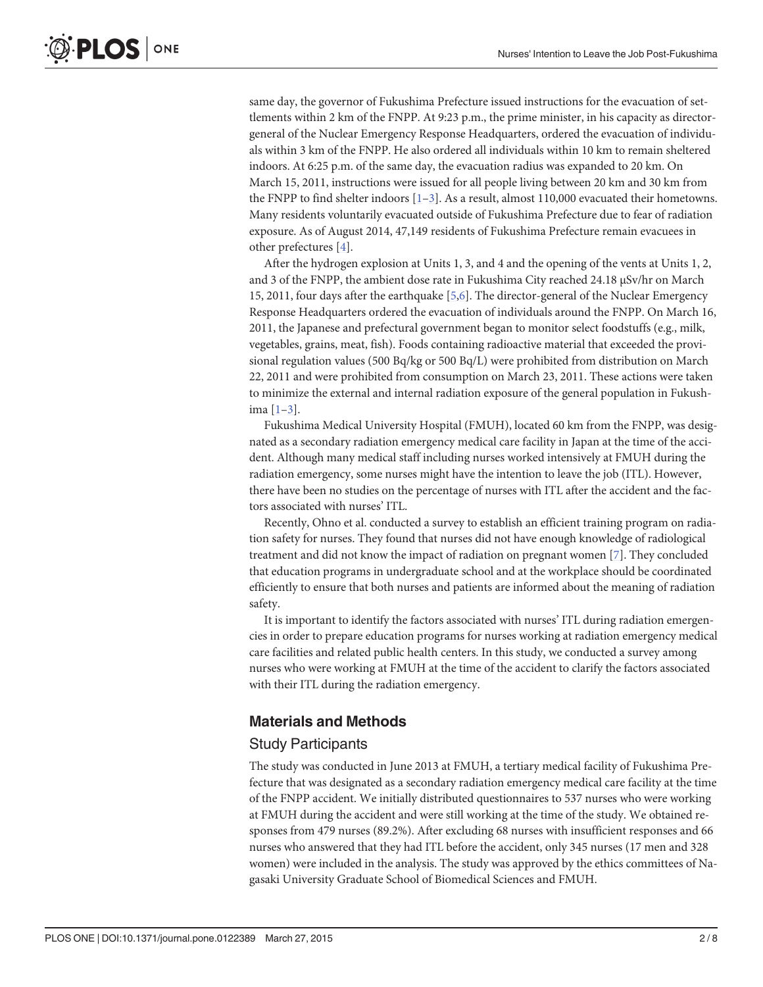<span id="page-1-0"></span>same day, the governor of Fukushima Prefecture issued instructions for the evacuation of settlements within 2 km of the FNPP. At 9:23 p.m., the prime minister, in his capacity as directorgeneral of the Nuclear Emergency Response Headquarters, ordered the evacuation of individuals within 3 km of the FNPP. He also ordered all individuals within 10 km to remain sheltered indoors. At 6:25 p.m. of the same day, the evacuation radius was expanded to 20 km. On March 15, 2011, instructions were issued for all people living between 20 km and 30 km from the FNPP to find shelter indoors  $[1-3]$  $[1-3]$  $[1-3]$ . As a result, almost 110,000 evacuated their hometowns. Many residents voluntarily evacuated outside of Fukushima Prefecture due to fear of radiation exposure. As of August 2014, 47,149 residents of Fukushima Prefecture remain evacuees in other prefectures [\[4\]](#page-6-0).

After the hydrogen explosion at Units 1, 3, and 4 and the opening of the vents at Units 1, 2, and 3 of the FNPP, the ambient dose rate in Fukushima City reached 24.18 μSv/hr on March 15, 2011, four days after the earthquake [[5](#page-6-0),[6](#page-6-0)]. The director-general of the Nuclear Emergency Response Headquarters ordered the evacuation of individuals around the FNPP. On March 16, 2011, the Japanese and prefectural government began to monitor select foodstuffs (e.g., milk, vegetables, grains, meat, fish). Foods containing radioactive material that exceeded the provisional regulation values (500 Bq/kg or 500 Bq/L) were prohibited from distribution on March 22, 2011 and were prohibited from consumption on March 23, 2011. These actions were taken to minimize the external and internal radiation exposure of the general population in Fukushima [[1](#page-6-0)–[3](#page-6-0)].

Fukushima Medical University Hospital (FMUH), located 60 km from the FNPP, was designated as a secondary radiation emergency medical care facility in Japan at the time of the accident. Although many medical staff including nurses worked intensively at FMUH during the radiation emergency, some nurses might have the intention to leave the job (ITL). However, there have been no studies on the percentage of nurses with ITL after the accident and the factors associated with nurses' ITL.

Recently, Ohno et al. conducted a survey to establish an efficient training program on radiation safety for nurses. They found that nurses did not have enough knowledge of radiological treatment and did not know the impact of radiation on pregnant women [\[7](#page-6-0)]. They concluded that education programs in undergraduate school and at the workplace should be coordinated efficiently to ensure that both nurses and patients are informed about the meaning of radiation safety.

It is important to identify the factors associated with nurses' ITL during radiation emergencies in order to prepare education programs for nurses working at radiation emergency medical care facilities and related public health centers. In this study, we conducted a survey among nurses who were working at FMUH at the time of the accident to clarify the factors associated with their ITL during the radiation emergency.

#### Materials and Methods

#### Study Participants

The study was conducted in June 2013 at FMUH, a tertiary medical facility of Fukushima Prefecture that was designated as a secondary radiation emergency medical care facility at the time of the FNPP accident. We initially distributed questionnaires to 537 nurses who were working at FMUH during the accident and were still working at the time of the study. We obtained responses from 479 nurses (89.2%). After excluding 68 nurses with insufficient responses and 66 nurses who answered that they had ITL before the accident, only 345 nurses (17 men and 328 women) were included in the analysis. The study was approved by the ethics committees of Nagasaki University Graduate School of Biomedical Sciences and FMUH.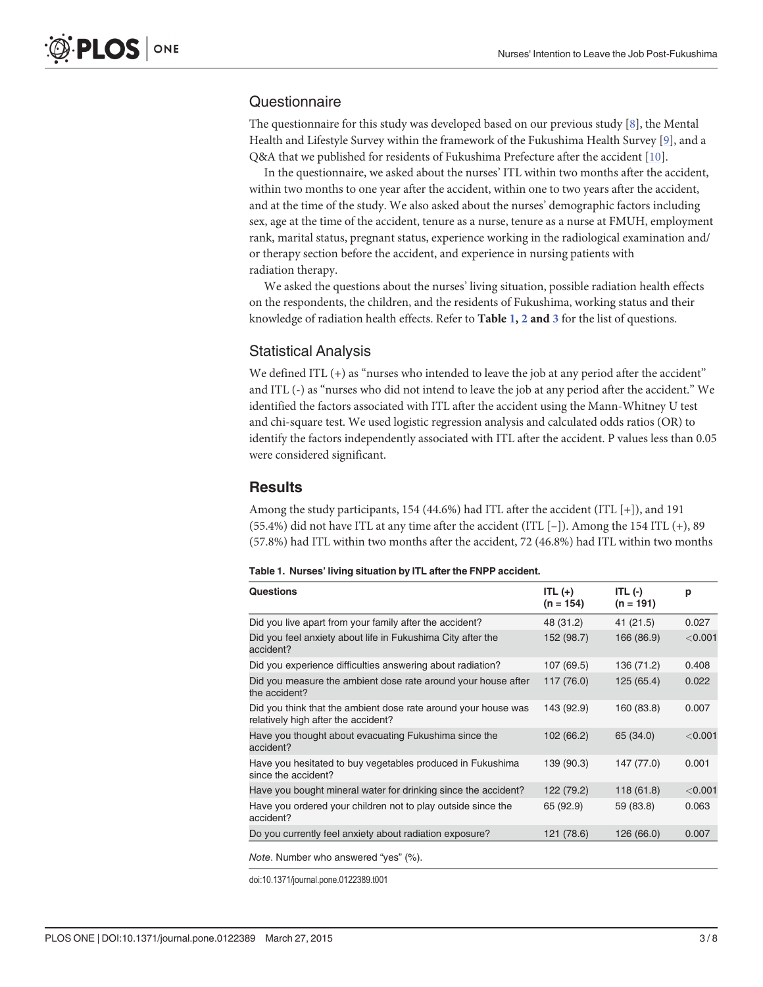## <span id="page-2-0"></span>**Questionnaire**

The questionnaire for this study was developed based on our previous study  $[8]$  $[8]$ , the Mental Health and Lifestyle Survey within the framework of the Fukushima Health Survey  $[9]$  $[9]$  $[9]$ , and a Q&A that we published for residents of Fukushima Prefecture after the accident [\[10\]](#page-6-0).

In the questionnaire, we asked about the nurses' ITL within two months after the accident, within two months to one year after the accident, within one to two years after the accident, and at the time of the study. We also asked about the nurses' demographic factors including sex, age at the time of the accident, tenure as a nurse, tenure as a nurse at FMUH, employment rank, marital status, pregnant status, experience working in the radiological examination and/ or therapy section before the accident, and experience in nursing patients with radiation therapy.

We asked the questions about the nurses' living situation, possible radiation health effects on the respondents, the children, and the residents of Fukushima, working status and their knowledge of radiation health effects. Refer to Table  $1, 2$  $1, 2$  and  $3$  for the list of questions.

#### Statistical Analysis

We defined ITL (+) as "nurses who intended to leave the job at any period after the accident" and ITL (-) as "nurses who did not intend to leave the job at any period after the accident." We identified the factors associated with ITL after the accident using the Mann-Whitney U test and chi-square test. We used logistic regression analysis and calculated odds ratios (OR) to identify the factors independently associated with ITL after the accident. P values less than 0.05 were considered significant.

#### **Results**

Among the study participants, 154 (44.6%) had ITL after the accident (ITL  $[+]$ ), and 191 (55.4%) did not have ITL at any time after the accident (ITL [–]). Among the 154 ITL (+), 89 (57.8%) had ITL within two months after the accident, 72 (46.8%) had ITL within two months

#### Table 1. Nurses' living situation by ITL after the FNPP accident.

| Questions                                                                                             | ITL $(+)$<br>$(n = 154)$ | ITL $(-)$<br>$(n = 191)$ | p         |
|-------------------------------------------------------------------------------------------------------|--------------------------|--------------------------|-----------|
| Did you live apart from your family after the accident?                                               | 48 (31.2)                | 41(21.5)                 | 0.027     |
| Did you feel anxiety about life in Fukushima City after the<br>accident?                              | 152 (98.7)               | 166 (86.9)               | < 0.001   |
| Did you experience difficulties answering about radiation?                                            | 107 (69.5)               | 136 (71.2)               | 0.408     |
| Did you measure the ambient dose rate around your house after<br>the accident?                        | 117 (76.0)               | 125 (65.4)               | 0.022     |
| Did you think that the ambient dose rate around your house was<br>relatively high after the accident? | 143 (92.9)               | 160 (83.8)               | 0.007     |
| Have you thought about evacuating Fukushima since the<br>accident?                                    | 102 (66.2)               | 65 (34.0)                | < 0.001   |
| Have you hesitated to buy vegetables produced in Fukushima<br>since the accident?                     | 139 (90.3)               | 147 (77.0)               | 0.001     |
| Have you bought mineral water for drinking since the accident?                                        | 122 (79.2)               | 118 (61.8)               | $<$ 0.001 |
| Have you ordered your children not to play outside since the<br>accident?                             | 65 (92.9)                | 59 (83.8)                | 0.063     |
| Do you currently feel anxiety about radiation exposure?                                               | 121 (78.6)               | 126 (66.0)               | 0.007     |

doi:10.1371/journal.pone.0122389.t001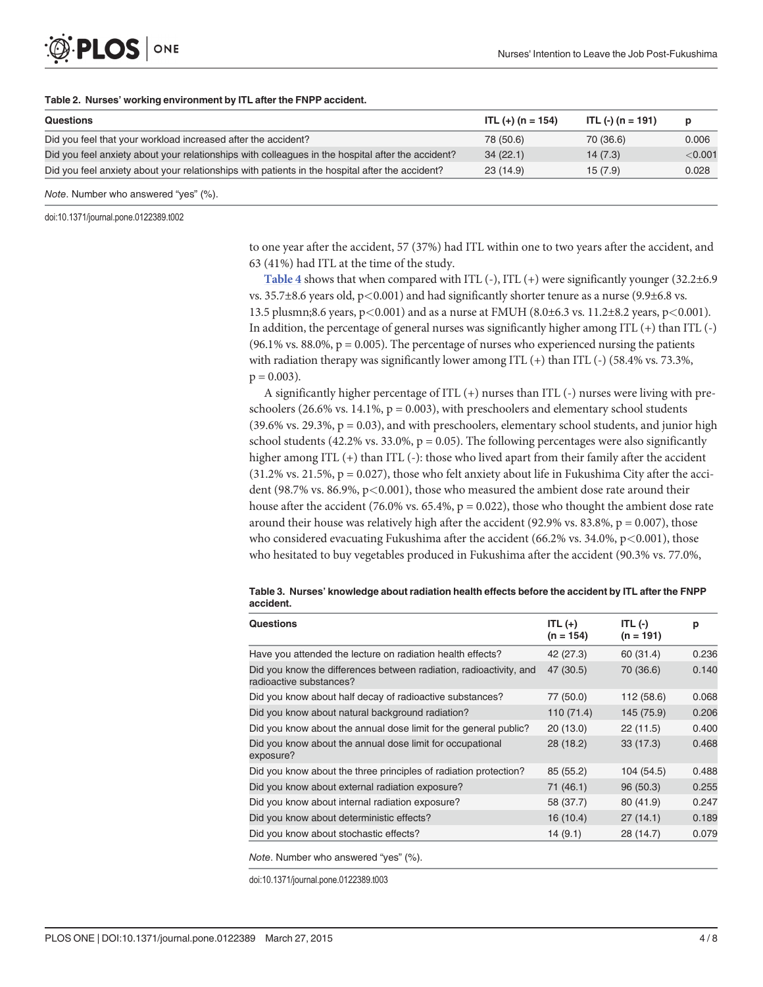#### [Table 2.](#page-2-0) Nurses' working environment by ITL after the FNPP accident.

ONE

| Questions                                                                                         | ITL $(+)$ (n = 154) | ITL $(-)$ (n = 191) | D       |
|---------------------------------------------------------------------------------------------------|---------------------|---------------------|---------|
| Did you feel that your workload increased after the accident?                                     | 78 (50.6)           | 70 (36.6)           | 0.006   |
| Did you feel anxiety about your relationships with colleagues in the hospital after the accident? | 34(22.1)            | 14(7.3)             | < 0.001 |
| Did you feel anxiety about your relationships with patients in the hospital after the accident?   | 23(14.9)            | 15(7.9)             | 0.028   |
|                                                                                                   |                     |                     |         |

Note. Number who answered "yes" (%).

doi:10.1371/journal.pone.0122389.t002

<span id="page-3-0"></span>**PLOS I** 

to one year after the accident, 57 (37%) had ITL within one to two years after the accident, and 63 (41%) had ITL at the time of the study.

[Table 4](#page-4-0) shows that when compared with ITL  $(-)$ , ITL  $(+)$  were significantly younger  $(32.2\pm6.9$ vs. 35.7 $\pm$ 8.6 years old, p<0.001) and had significantly shorter tenure as a nurse (9.9 $\pm$ 6.8 vs. 13.5 plusmn;8.6 years, p<0.001) and as a nurse at FMUH (8.0±6.3 vs. 11.2±8.2 years, p<0.001). In addition, the percentage of general nurses was significantly higher among ITL (+) than ITL (-) (96.1% vs. 88.0%,  $p = 0.005$ ). The percentage of nurses who experienced nursing the patients with radiation therapy was significantly lower among ITL  $(+)$  than ITL  $(-)$  (58.4% vs. 73.3%,  $p = 0.003$ ).

A significantly higher percentage of ITL (+) nurses than ITL (-) nurses were living with preschoolers (26.6% vs. 14.1%,  $p = 0.003$ ), with preschoolers and elementary school students  $(39.6\% \text{ vs. } 29.3\%, \text{ p} = 0.03)$ , and with preschoolers, elementary school students, and junior high school students  $(42.2\% \text{ vs. } 33.0\% , p = 0.05)$ . The following percentages were also significantly higher among ITL (+) than ITL (-): those who lived apart from their family after the accident  $(31.2\% \text{ vs. } 21.5\%, \text{ p} = 0.027)$ , those who felt anxiety about life in Fukushima City after the accident (98.7% vs. 86.9%,  $p<0.001$ ), those who measured the ambient dose rate around their house after the accident (76.0% vs. 65.4%,  $p = 0.022$ ), those who thought the ambient dose rate around their house was relatively high after the accident (92.9% vs.  $83.8\%$ ,  $p = 0.007$ ), those who considered evacuating Fukushima after the accident (66.2% vs.  $34.0\%$ , p $\lt$ 0.001), those who hesitated to buy vegetables produced in Fukushima after the accident (90.3% vs. 77.0%,

|           |  |  | Table 3. Nurses' knowledge about radiation health effects before the accident by ITL after the FNPP |  |
|-----------|--|--|-----------------------------------------------------------------------------------------------------|--|
| accident. |  |  |                                                                                                     |  |

| <b>Questions</b>                                                                              | $ITL (+)$<br>$(n = 154)$ | ITL $(-)$<br>$(n = 191)$ | р     |
|-----------------------------------------------------------------------------------------------|--------------------------|--------------------------|-------|
| Have you attended the lecture on radiation health effects?                                    | 42 (27.3)                | 60 (31.4)                | 0.236 |
| Did you know the differences between radiation, radioactivity, and<br>radioactive substances? | 47 (30.5)                | 70 (36.6)                | 0.140 |
| Did you know about half decay of radioactive substances?                                      | 77 (50.0)                | 112 (58.6)               | 0.068 |
| Did you know about natural background radiation?                                              | 110 (71.4)               | 145 (75.9)               | 0.206 |
| Did you know about the annual dose limit for the general public?                              | 20(13.0)                 | 22(11.5)                 | 0.400 |
| Did you know about the annual dose limit for occupational<br>exposure?                        | 28(18.2)                 | 33(17.3)                 | 0.468 |
| Did you know about the three principles of radiation protection?                              | 85 (55.2)                | 104 (54.5)               | 0.488 |
| Did you know about external radiation exposure?                                               | 71 (46.1)                | 96(50.3)                 | 0.255 |
| Did you know about internal radiation exposure?                                               | 58 (37.7)                | 80 (41.9)                | 0.247 |
| Did you know about deterministic effects?                                                     | 16(10.4)                 | 27(14.1)                 | 0.189 |
| Did you know about stochastic effects?                                                        | 14(9.1)                  | 28 (14.7)                | 0.079 |

Note. Number who answered "yes" (%).

doi:10.1371/journal.pone.0122389.t003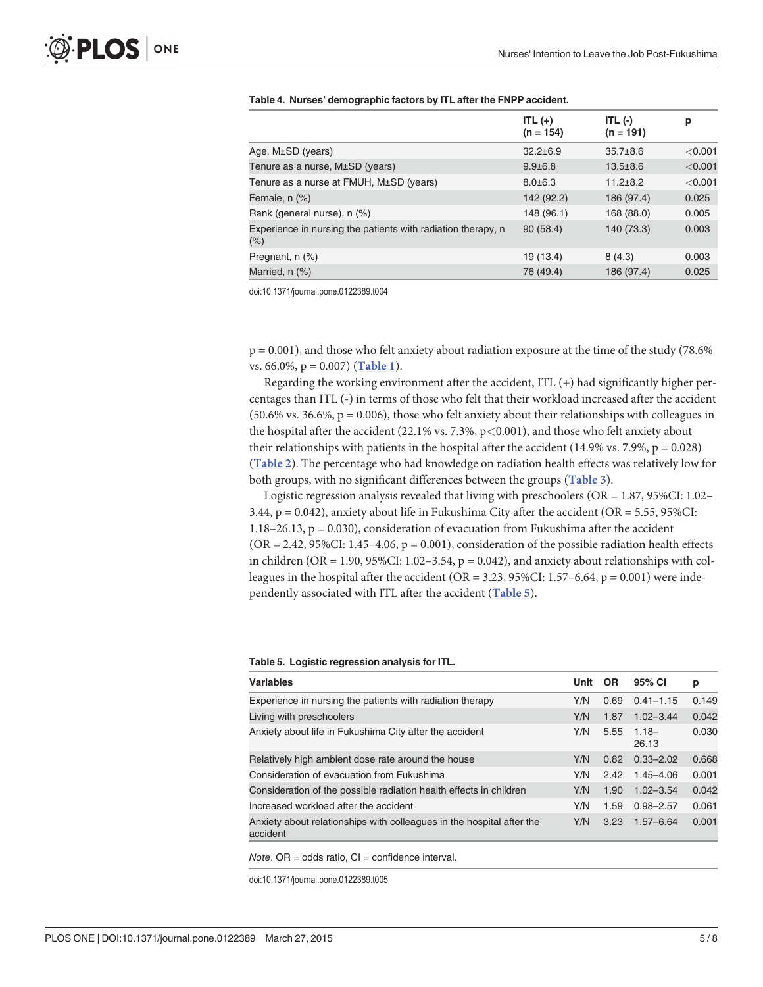|                                                                         | ITL $(+)$<br>$(n = 154)$ | ITL $(-)$<br>$(n = 191)$ | р       |
|-------------------------------------------------------------------------|--------------------------|--------------------------|---------|
| Age, $M\pm SD$ (years)                                                  | $32.2 \pm 6.9$           | $35.7\pm8.6$             | < 0.001 |
| Tenure as a nurse, M±SD (years)                                         | $9.9 \pm 6.8$            | $13.5 \pm 8.6$           | < 0.001 |
| Tenure as a nurse at FMUH, M±SD (years)                                 | $8.0 \pm 6.3$            | $11.2 \pm 8.2$           | < 0.001 |
| Female, n (%)                                                           | 142 (92.2)               | 186 (97.4)               | 0.025   |
| Rank (general nurse), n (%)                                             | 148 (96.1)               | 168 (88.0)               | 0.005   |
| Experience in nursing the patients with radiation therapy, n<br>$(\% )$ | 90(58.4)                 | 140 (73.3)               | 0.003   |
| Pregnant, n (%)                                                         | 19 (13.4)                | 8(4.3)                   | 0.003   |
| Married, n (%)                                                          | 76 (49.4)                | 186 (97.4)               | 0.025   |

<span id="page-4-0"></span>

| Table 4. Nurses' demographic factors by ITL after the FNPP accident. |  |  |  |  |
|----------------------------------------------------------------------|--|--|--|--|
|----------------------------------------------------------------------|--|--|--|--|

doi:10.1371/journal.pone.0122389.t004

p = 0.001), and those who felt anxiety about radiation exposure at the time of the study (78.6% vs. 66.0%,  $p = 0.007$ ) ([Table 1](#page-2-0)).

Regarding the working environment after the accident, ITL (+) had significantly higher percentages than ITL (-) in terms of those who felt that their workload increased after the accident  $(50.6\% \text{ vs. } 36.6\%, \text{ p} = 0.006)$ , those who felt anxiety about their relationships with colleagues in the hospital after the accident (22.1% vs. 7.3%,  $p$ <0.001), and those who felt anxiety about their relationships with patients in the hospital after the accident (14.9% vs. 7.9%,  $p = 0.028$ ) ([Table 2](#page-3-0)). The percentage who had knowledge on radiation health effects was relatively low for both groups, with no significant differences between the groups ([Table 3](#page-3-0)).

Logistic regression analysis revealed that living with preschoolers (OR = 1.87, 95%CI: 1.02– 3.44,  $p = 0.042$ ), anxiety about life in Fukushima City after the accident (OR = 5.55, 95%CI: 1.18–26.13,  $p = 0.030$ ), consideration of evacuation from Fukushima after the accident  $(OR = 2.42, 95\% CI: 1.45-4.06, p = 0.001)$ , consideration of the possible radiation health effects in children (OR = 1.90, 95%CI: 1.02–3.54,  $p = 0.042$ ), and anxiety about relationships with colleagues in the hospital after the accident (OR = 3.23, 95%CI: 1.57–6.64,  $p = 0.001$ ) were independently associated with ITL after the accident (Table 5).

Table 5. Logistic regression analysis for ITL.

| <b>Variables</b>                                                                  | Unit | <b>OR</b> | 95% CI            | р     |
|-----------------------------------------------------------------------------------|------|-----------|-------------------|-------|
| Experience in nursing the patients with radiation therapy                         | Y/N  | 0.69      | $0.41 - 1.15$     | 0.149 |
| Living with preschoolers                                                          | Y/N  | 1.87      | $1.02 - 3.44$     | 0.042 |
| Anxiety about life in Fukushima City after the accident                           | Y/N  | 5.55      | $1.18 -$<br>26.13 | 0.030 |
| Relatively high ambient dose rate around the house                                | Y/N  | 0.82      | $0.33 - 2.02$     | 0.668 |
| Consideration of evacuation from Fukushima                                        | Y/N  | 2.42      | $1.45 - 4.06$     | 0.001 |
| Consideration of the possible radiation health effects in children                | Y/N  | 1.90      | $1.02 - 3.54$     | 0.042 |
| Increased workload after the accident                                             | Y/N  | 1.59      | $0.98 - 2.57$     | 0.061 |
| Anxiety about relationships with colleagues in the hospital after the<br>accident | Y/N  | 3.23      | $1.57 - 6.64$     | 0.001 |

 $Note. OR = odds ratio, CI = confidence interval.$ 

doi:10.1371/journal.pone.0122389.t005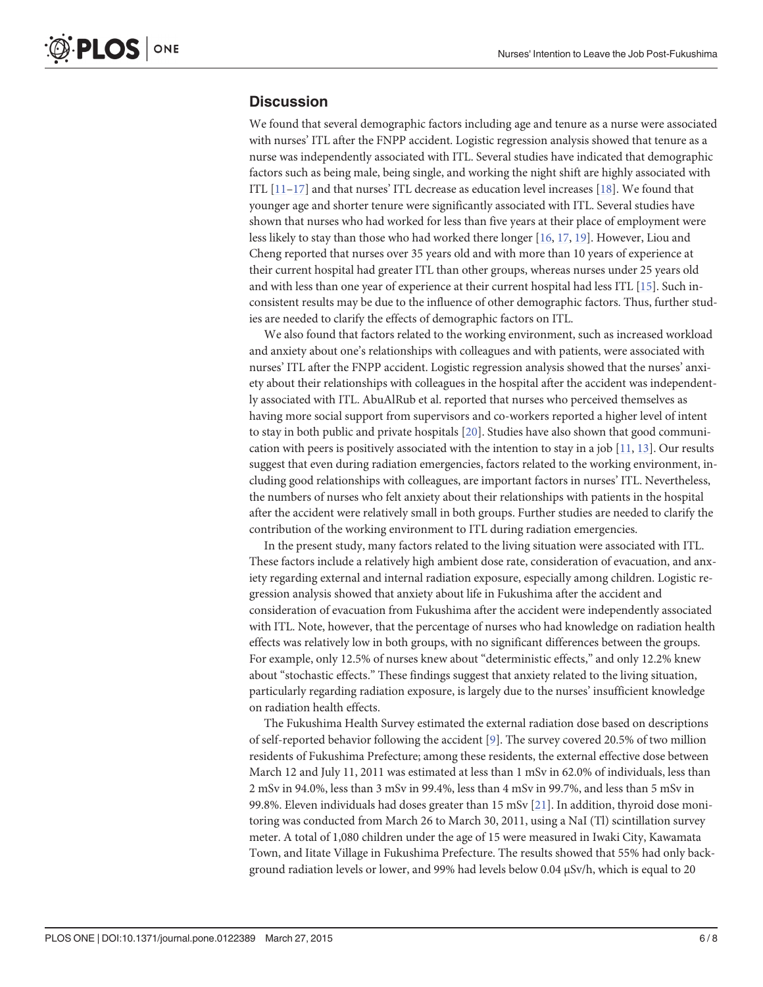## <span id="page-5-0"></span>**Discussion**

We found that several demographic factors including age and tenure as a nurse were associated with nurses' ITL after the FNPP accident. Logistic regression analysis showed that tenure as a nurse was independently associated with ITL. Several studies have indicated that demographic factors such as being male, being single, and working the night shift are highly associated with ITL  $[11-17]$  $[11-17]$  $[11-17]$  and that nurses' ITL decrease as education level increases  $[18]$  $[18]$  $[18]$ . We found that younger age and shorter tenure were significantly associated with ITL. Several studies have shown that nurses who had worked for less than five years at their place of employment were less likely to stay than those who had worked there longer [\[16,](#page-7-0) [17,](#page-7-0) [19\]](#page-7-0). However, Liou and Cheng reported that nurses over 35 years old and with more than 10 years of experience at their current hospital had greater ITL than other groups, whereas nurses under 25 years old and with less than one year of experience at their current hospital had less ITL [[15\]](#page-7-0). Such inconsistent results may be due to the influence of other demographic factors. Thus, further studies are needed to clarify the effects of demographic factors on ITL.

We also found that factors related to the working environment, such as increased workload and anxiety about one's relationships with colleagues and with patients, were associated with nurses' ITL after the FNPP accident. Logistic regression analysis showed that the nurses' anxiety about their relationships with colleagues in the hospital after the accident was independently associated with ITL. AbuAlRub et al. reported that nurses who perceived themselves as having more social support from supervisors and co-workers reported a higher level of intent to stay in both public and private hospitals [[20](#page-7-0)]. Studies have also shown that good communication with peers is positively associated with the intention to stay in a job  $[11, 13]$  $[11, 13]$  $[11, 13]$  $[11, 13]$ . Our results suggest that even during radiation emergencies, factors related to the working environment, including good relationships with colleagues, are important factors in nurses' ITL. Nevertheless, the numbers of nurses who felt anxiety about their relationships with patients in the hospital after the accident were relatively small in both groups. Further studies are needed to clarify the contribution of the working environment to ITL during radiation emergencies.

In the present study, many factors related to the living situation were associated with ITL. These factors include a relatively high ambient dose rate, consideration of evacuation, and anxiety regarding external and internal radiation exposure, especially among children. Logistic regression analysis showed that anxiety about life in Fukushima after the accident and consideration of evacuation from Fukushima after the accident were independently associated with ITL. Note, however, that the percentage of nurses who had knowledge on radiation health effects was relatively low in both groups, with no significant differences between the groups. For example, only 12.5% of nurses knew about "deterministic effects," and only 12.2% knew about "stochastic effects." These findings suggest that anxiety related to the living situation, particularly regarding radiation exposure, is largely due to the nurses' insufficient knowledge on radiation health effects.

The Fukushima Health Survey estimated the external radiation dose based on descriptions of self-reported behavior following the accident [\[9\]](#page-6-0). The survey covered 20.5% of two million residents of Fukushima Prefecture; among these residents, the external effective dose between March 12 and July 11, 2011 was estimated at less than 1 mSv in 62.0% of individuals, less than 2 mSv in 94.0%, less than 3 mSv in 99.4%, less than 4 mSv in 99.7%, and less than 5 mSv in 99.8%. Eleven individuals had doses greater than 15 mSv [\[21\]](#page-7-0). In addition, thyroid dose monitoring was conducted from March 26 to March 30, 2011, using a NaI (Tl) scintillation survey meter. A total of 1,080 children under the age of 15 were measured in Iwaki City, Kawamata Town, and Iitate Village in Fukushima Prefecture. The results showed that 55% had only background radiation levels or lower, and 99% had levels below 0.04 μSv/h, which is equal to 20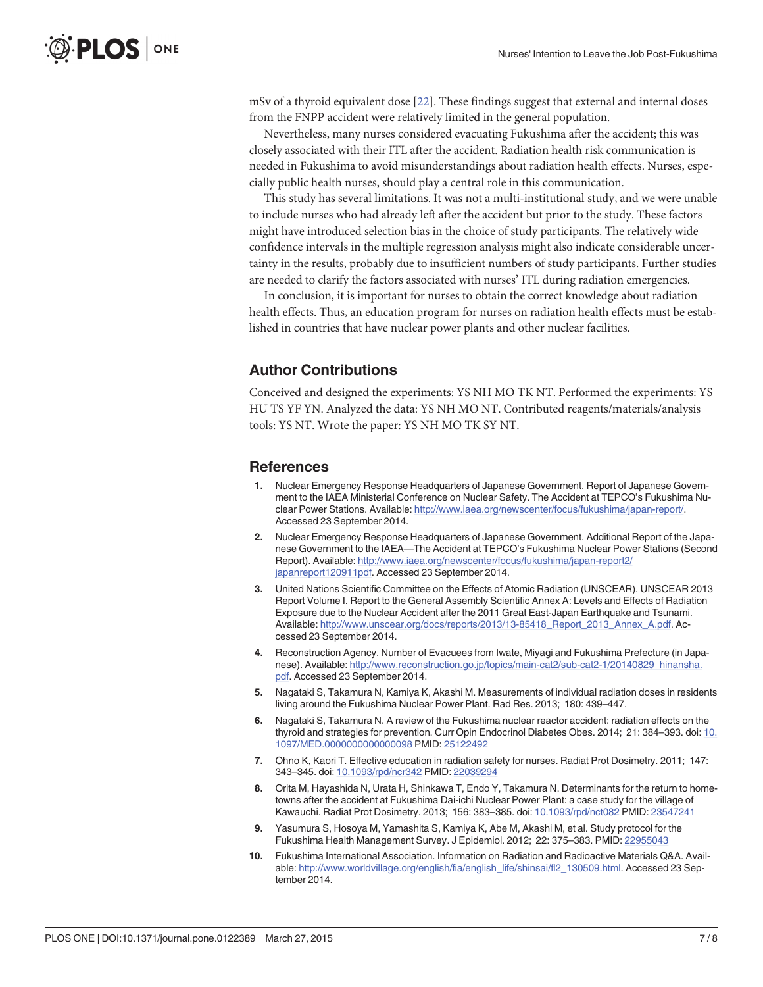<span id="page-6-0"></span>mSv of a thyroid equivalent dose [[22\]](#page-7-0). These findings suggest that external and internal doses from the FNPP accident were relatively limited in the general population.

Nevertheless, many nurses considered evacuating Fukushima after the accident; this was closely associated with their ITL after the accident. Radiation health risk communication is needed in Fukushima to avoid misunderstandings about radiation health effects. Nurses, especially public health nurses, should play a central role in this communication.

This study has several limitations. It was not a multi-institutional study, and we were unable to include nurses who had already left after the accident but prior to the study. These factors might have introduced selection bias in the choice of study participants. The relatively wide confidence intervals in the multiple regression analysis might also indicate considerable uncertainty in the results, probably due to insufficient numbers of study participants. Further studies are needed to clarify the factors associated with nurses' ITL during radiation emergencies.

In conclusion, it is important for nurses to obtain the correct knowledge about radiation health effects. Thus, an education program for nurses on radiation health effects must be established in countries that have nuclear power plants and other nuclear facilities.

#### Author Contributions

Conceived and designed the experiments: YS NH MO TK NT. Performed the experiments: YS HU TS YF YN. Analyzed the data: YS NH MO NT. Contributed reagents/materials/analysis tools: YS NT. Wrote the paper: YS NH MO TK SY NT.

#### References

- [1.](#page-1-0) Nuclear Emergency Response Headquarters of Japanese Government. Report of Japanese Government to the IAEA Ministerial Conference on Nuclear Safety. The Accident at TEPCO's Fukushima Nuclear Power Stations. Available: [http://www.iaea.org/newscenter/focus/fukushima/japan-report/.](http://www.iaea.org/newscenter/focus/fukushima/japan-report/) Accessed 23 September 2014.
- 2. Nuclear Emergency Response Headquarters of Japanese Government. Additional Report of the Japanese Government to the IAEA—The Accident at TEPCO's Fukushima Nuclear Power Stations (Second Report). Available: [http://www.iaea.org/newscenter/focus/fukushima/japan-report2/](http://www.iaea.org/newscenter/focus/fukushima/japan-report2/japanreport120911pdf) [japanreport120911pdf](http://www.iaea.org/newscenter/focus/fukushima/japan-report2/japanreport120911pdf). Accessed 23 September 2014.
- [3.](#page-1-0) United Nations Scientific Committee on the Effects of Atomic Radiation (UNSCEAR). UNSCEAR 2013 Report Volume I. Report to the General Assembly Scientific Annex A: Levels and Effects of Radiation Exposure due to the Nuclear Accident after the 2011 Great East-Japan Earthquake and Tsunami. Available: [http://www.unscear.org/docs/reports/2013/13-85418\\_Report\\_2013\\_Annex\\_A.pdf.](http://www.unscear.org/docs/reports/2013/13-85418_Report_2013_Annex_A.pdf) Accessed 23 September 2014.
- [4.](#page-1-0) Reconstruction Agency. Number of Evacuees from Iwate, Miyagi and Fukushima Prefecture (in Japanese). Available: [http://www.reconstruction.go.jp/topics/main-cat2/sub-cat2-1/20140829\\_hinansha.](http://www.reconstruction.go.jp/topics/main-cat2/sub-cat2-1/20140829_hinansha.pdf) [pdf.](http://www.reconstruction.go.jp/topics/main-cat2/sub-cat2-1/20140829_hinansha.pdf) Accessed 23 September 2014.
- [5.](#page-1-0) Nagataki S, Takamura N, Kamiya K, Akashi M. Measurements of individual radiation doses in residents living around the Fukushima Nuclear Power Plant. Rad Res. 2013; 180: 439–447.
- [6.](#page-1-0) Nagataki S, Takamura N. A review of the Fukushima nuclear reactor accident: radiation effects on the thyroid and strategies for prevention. Curr Opin Endocrinol Diabetes Obes. 2014; 21: 384–393. doi: [10.](http://dx.doi.org/10.1097/MED.0000000000000098) [1097/MED.0000000000000098](http://dx.doi.org/10.1097/MED.0000000000000098) PMID: [25122492](http://www.ncbi.nlm.nih.gov/pubmed/25122492)
- [7.](#page-1-0) Ohno K, Kaori T. Effective education in radiation safety for nurses. Radiat Prot Dosimetry. 2011; 147: 343–345. doi: [10.1093/rpd/ncr342](http://dx.doi.org/10.1093/rpd/ncr342) PMID: [22039294](http://www.ncbi.nlm.nih.gov/pubmed/22039294)
- [8.](#page-2-0) Orita M, Hayashida N, Urata H, Shinkawa T, Endo Y, Takamura N. Determinants for the return to hometowns after the accident at Fukushima Dai-ichi Nuclear Power Plant: a case study for the village of Kawauchi. Radiat Prot Dosimetry. 2013; 156: 383–385. doi: [10.1093/rpd/nct082](http://dx.doi.org/10.1093/rpd/nct082) PMID: [23547241](http://www.ncbi.nlm.nih.gov/pubmed/23547241)
- [9.](#page-2-0) Yasumura S, Hosoya M, Yamashita S, Kamiya K, Abe M, Akashi M, et al. Study protocol for the Fukushima Health Management Survey. J Epidemiol. 2012; 22: 375–383. PMID: [22955043](http://www.ncbi.nlm.nih.gov/pubmed/22955043)
- [10.](#page-2-0) Fukushima International Association. Information on Radiation and Radioactive Materials Q&A. Available: [http://www.worldvillage.org/english/fia/english\\_life/shinsai/fl2\\_130509.html](http://www.worldvillage.org/english/fia/english_life/shinsai/fl2_130509.html). Accessed 23 September 2014.